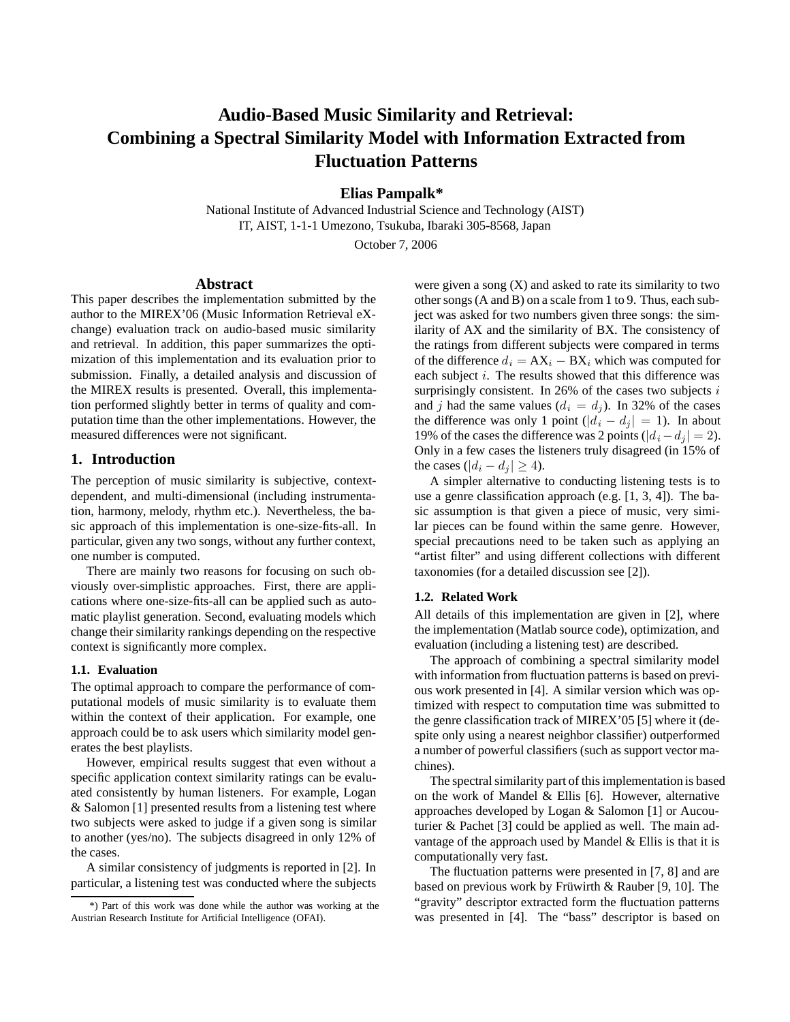# **Audio-Based Music Similarity and Retrieval: Combining a Spectral Similarity Model with Information Extracted from Fluctuation Patterns**

**Elias Pampalk\***

National Institute of Advanced Industrial Science and Technology (AIST) IT, AIST, 1-1-1 Umezono, Tsukuba, Ibaraki 305-8568, Japan

October 7, 2006

# **Abstract**

This paper describes the implementation submitted by the author to the MIREX'06 (Music Information Retrieval eXchange) evaluation track on audio-based music similarity and retrieval. In addition, this paper summarizes the optimization of this implementation and its evaluation prior to submission. Finally, a detailed analysis and discussion of the MIREX results is presented. Overall, this implementation performed slightly better in terms of quality and computation time than the other implementations. However, the measured differences were not significant.

## **1. Introduction**

The perception of music similarity is subjective, contextdependent, and multi-dimensional (including instrumentation, harmony, melody, rhythm etc.). Nevertheless, the basic approach of this implementation is one-size-fits-all. In particular, given any two songs, without any further context, one number is computed.

There are mainly two reasons for focusing on such obviously over-simplistic approaches. First, there are applications where one-size-fits-all can be applied such as automatic playlist generation. Second, evaluating models which change their similarity rankings depending on the respective context is significantly more complex.

#### **1.1. Evaluation**

The optimal approach to compare the performance of computational models of music similarity is to evaluate them within the context of their application. For example, one approach could be to ask users which similarity model generates the best playlists.

However, empirical results suggest that even without a specific application context similarity ratings can be evaluated consistently by human listeners. For example, Logan & Salomon [1] presented results from a listening test where two subjects were asked to judge if a given song is similar to another (yes/no). The subjects disagreed in only 12% of the cases.

A similar consistency of judgments is reported in [2]. In particular, a listening test was conducted where the subjects

were given a song  $(X)$  and asked to rate its similarity to two other songs (A and B) on a scale from 1 to 9. Thus, each subject was asked for two numbers given three songs: the similarity of AX and the similarity of BX. The consistency of the ratings from different subjects were compared in terms of the difference  $d_i = AX_i - BX_i$  which was computed for each subject *i*. The results showed that this difference was surprisingly consistent. In 26% of the cases two subjects *i* and *j* had the same values  $(d_i = d_j)$ . In 32% of the cases the difference was only 1 point  $(|d_i - d_j| = 1)$ . In about 19% of the cases the difference was 2 points ( $|d_i - d_j| = 2$ ). Only in a few cases the listeners truly disagreed (in 15% of the cases ( $|d_i - d_j| \geq 4$ ).

A simpler alternative to conducting listening tests is to use a genre classification approach (e.g. [1, 3, 4]). The basic assumption is that given a piece of music, very similar pieces can be found within the same genre. However, special precautions need to be taken such as applying an "artist filter" and using different collections with different taxonomies (for a detailed discussion see [2]).

## **1.2. Related Work**

All details of this implementation are given in [2], where the implementation (Matlab source code), optimization, and evaluation (including a listening test) are described.

The approach of combining a spectral similarity model with information from fluctuation patterns is based on previous work presented in [4]. A similar version which was optimized with respect to computation time was submitted to the genre classification track of MIREX'05 [5] where it (despite only using a nearest neighbor classifier) outperformed a number of powerful classifiers (such as support vector machines).

The spectral similarity part of this implementation is based on the work of Mandel & Ellis [6]. However, alternative approaches developed by Logan & Salomon [1] or Aucouturier & Pachet [3] could be applied as well. The main advantage of the approach used by Mandel & Ellis is that it is computationally very fast.

The fluctuation patterns were presented in [7, 8] and are based on previous work by Früwirth & Rauber [9, 10]. The "gravity" descriptor extracted form the fluctuation patterns was presented in [4]. The "bass" descriptor is based on

<sup>\*)</sup> Part of this work was done while the author was working at the Austrian Research Institute for Artificial Intelligence (OFAI).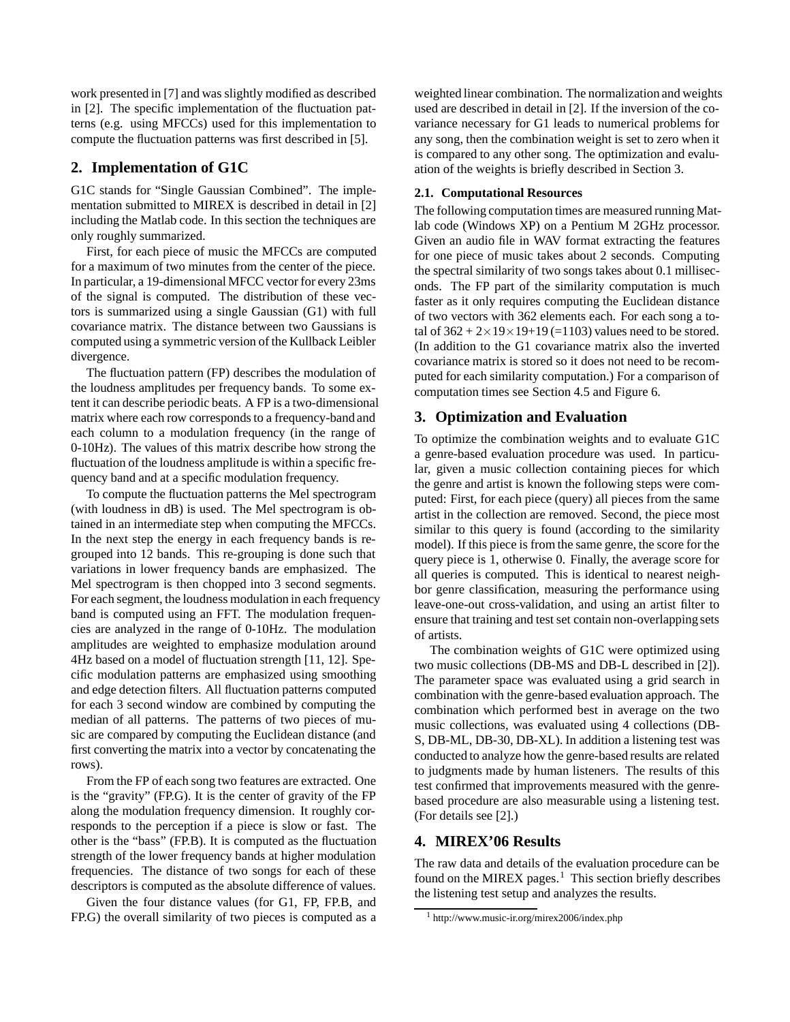work presented in [7] and was slightly modified as described in [2]. The specific implementation of the fluctuation patterns (e.g. using MFCCs) used for this implementation to compute the fluctuation patterns was first described in [5].

# **2. Implementation of G1C**

G1C stands for "Single Gaussian Combined". The implementation submitted to MIREX is described in detail in [2] including the Matlab code. In this section the techniques are only roughly summarized.

First, for each piece of music the MFCCs are computed for a maximum of two minutes from the center of the piece. In particular, a 19-dimensional MFCC vector for every 23ms of the signal is computed. The distribution of these vectors is summarized using a single Gaussian (G1) with full covariance matrix. The distance between two Gaussians is computed using a symmetric version of the Kullback Leibler divergence.

The fluctuation pattern (FP) describes the modulation of the loudness amplitudes per frequency bands. To some extent it can describe periodic beats. A FP is a two-dimensional matrix where each row corresponds to a frequency-band and each column to a modulation frequency (in the range of 0-10Hz). The values of this matrix describe how strong the fluctuation of the loudness amplitude is within a specific frequency band and at a specific modulation frequency.

To compute the fluctuation patterns the Mel spectrogram (with loudness in dB) is used. The Mel spectrogram is obtained in an intermediate step when computing the MFCCs. In the next step the energy in each frequency bands is regrouped into 12 bands. This re-grouping is done such that variations in lower frequency bands are emphasized. The Mel spectrogram is then chopped into 3 second segments. For each segment, the loudness modulation in each frequency band is computed using an FFT. The modulation frequencies are analyzed in the range of 0-10Hz. The modulation amplitudes are weighted to emphasize modulation around 4Hz based on a model of fluctuation strength [11, 12]. Specific modulation patterns are emphasized using smoothing and edge detection filters. All fluctuation patterns computed for each 3 second window are combined by computing the median of all patterns. The patterns of two pieces of music are compared by computing the Euclidean distance (and first converting the matrix into a vector by concatenating the rows).

From the FP of each song two features are extracted. One is the "gravity" (FP.G). It is the center of gravity of the FP along the modulation frequency dimension. It roughly corresponds to the perception if a piece is slow or fast. The other is the "bass" (FP.B). It is computed as the fluctuation strength of the lower frequency bands at higher modulation frequencies. The distance of two songs for each of these descriptors is computed as the absolute difference of values.

Given the four distance values (for G1, FP, FP.B, and FP.G) the overall similarity of two pieces is computed as a

weighted linear combination. The normalization and weights used are described in detail in [2]. If the inversion of the covariance necessary for G1 leads to numerical problems for any song, then the combination weight is set to zero when it is compared to any other song. The optimization and evaluation of the weights is briefly described in Section 3.

#### **2.1. Computational Resources**

The following computation times are measured running Matlab code (Windows XP) on a Pentium M 2GHz processor. Given an audio file in WAV format extracting the features for one piece of music takes about 2 seconds. Computing the spectral similarity of two songs takes about 0.1 milliseconds. The FP part of the similarity computation is much faster as it only requires computing the Euclidean distance of two vectors with 362 elements each. For each song a total of  $362 + 2 \times 19 \times 19 + 19$  (=1103) values need to be stored. (In addition to the G1 covariance matrix also the inverted covariance matrix is stored so it does not need to be recomputed for each similarity computation.) For a comparison of computation times see Section 4.5 and Figure 6.

## **3. Optimization and Evaluation**

To optimize the combination weights and to evaluate G1C a genre-based evaluation procedure was used. In particular, given a music collection containing pieces for which the genre and artist is known the following steps were computed: First, for each piece (query) all pieces from the same artist in the collection are removed. Second, the piece most similar to this query is found (according to the similarity model). If this piece is from the same genre, the score for the query piece is 1, otherwise 0. Finally, the average score for all queries is computed. This is identical to nearest neighbor genre classification, measuring the performance using leave-one-out cross-validation, and using an artist filter to ensure that training and test set contain non-overlapping sets of artists.

The combination weights of G1C were optimized using two music collections (DB-MS and DB-L described in [2]). The parameter space was evaluated using a grid search in combination with the genre-based evaluation approach. The combination which performed best in average on the two music collections, was evaluated using 4 collections (DB-S, DB-ML, DB-30, DB-XL). In addition a listening test was conducted to analyze how the genre-based results are related to judgments made by human listeners. The results of this test confirmed that improvements measured with the genrebased procedure are also measurable using a listening test. (For details see [2].)

## **4. MIREX'06 Results**

The raw data and details of the evaluation procedure can be found on the MIREX pages. $<sup>1</sup>$  This section briefly describes</sup> the listening test setup and analyzes the results.

<sup>1</sup> http://www.music-ir.org/mirex2006/index.php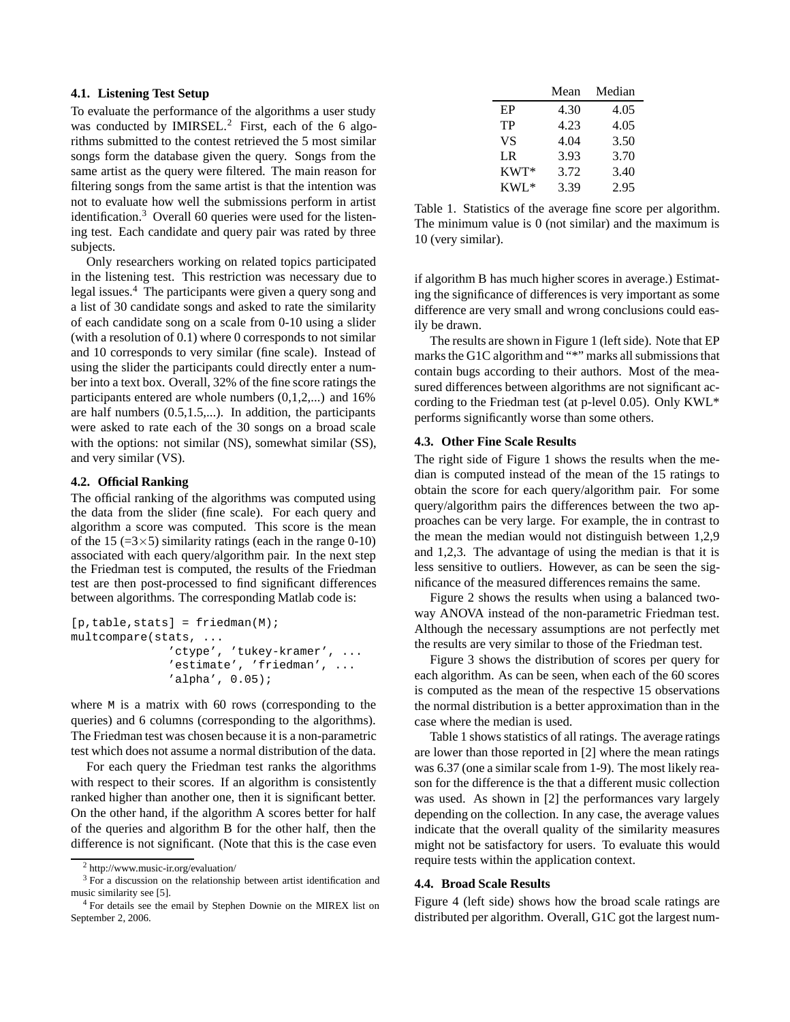## **4.1. Listening Test Setup**

To evaluate the performance of the algorithms a user study was conducted by IMIRSEL.<sup>2</sup> First, each of the 6 algorithms submitted to the contest retrieved the 5 most similar songs form the database given the query. Songs from the same artist as the query were filtered. The main reason for filtering songs from the same artist is that the intention was not to evaluate how well the submissions perform in artist identification.<sup>3</sup> Overall 60 queries were used for the listening test. Each candidate and query pair was rated by three subjects.

Only researchers working on related topics participated in the listening test. This restriction was necessary due to legal issues.<sup>4</sup> The participants were given a query song and a list of 30 candidate songs and asked to rate the similarity of each candidate song on a scale from 0-10 using a slider (with a resolution of 0.1) where 0 corresponds to not similar and 10 corresponds to very similar (fine scale). Instead of using the slider the participants could directly enter a number into a text box. Overall, 32% of the fine score ratings the participants entered are whole numbers (0,1,2,...) and 16% are half numbers  $(0.5, 1.5,...)$ . In addition, the participants were asked to rate each of the 30 songs on a broad scale with the options: not similar (NS), somewhat similar (SS), and very similar (VS).

## **4.2. Official Ranking**

The official ranking of the algorithms was computed using the data from the slider (fine scale). For each query and algorithm a score was computed. This score is the mean of the 15 (= $3\times$ 5) similarity ratings (each in the range 0-10) associated with each query/algorithm pair. In the next step the Friedman test is computed, the results of the Friedman test are then post-processed to find significant differences between algorithms. The corresponding Matlab code is:

```
[p, table, stats] = friedman(M);multcompare(stats, ...
  'ctype', 'tukey-kramer', ...
  'estimate', 'friedman', ...
  'alpha', 0.05);
```
where M is a matrix with 60 rows (corresponding to the queries) and 6 columns (corresponding to the algorithms). The Friedman test was chosen because it is a non-parametric test which does not assume a normal distribution of the data.

For each query the Friedman test ranks the algorithms with respect to their scores. If an algorithm is consistently ranked higher than another one, then it is significant better. On the other hand, if the algorithm A scores better for half of the queries and algorithm B for the other half, then the difference is not significant. (Note that this is the case even

|        | Mean | Median |
|--------|------|--------|
| EP     | 4.30 | 4.05   |
| TP     | 4.23 | 4.05   |
| VS     | 4.04 | 3.50   |
| LR     | 3.93 | 3.70   |
| $KWT*$ | 3.72 | 3.40   |
| $KWL*$ | 3.39 | 2.95   |

Table 1. Statistics of the average fine score per algorithm. The minimum value is 0 (not similar) and the maximum is 10 (very similar).

if algorithm B has much higher scores in average.) Estimating the significance of differences is very important as some difference are very small and wrong conclusions could easily be drawn.

The results are shown in Figure 1 (left side). Note that EP marks the G1C algorithm and "\*" marks all submissions that contain bugs according to their authors. Most of the measured differences between algorithms are not significant according to the Friedman test (at p-level 0.05). Only KWL\* performs significantly worse than some others.

#### **4.3. Other Fine Scale Results**

The right side of Figure 1 shows the results when the median is computed instead of the mean of the 15 ratings to obtain the score for each query/algorithm pair. For some query/algorithm pairs the differences between the two approaches can be very large. For example, the in contrast to the mean the median would not distinguish between 1,2,9 and 1,2,3. The advantage of using the median is that it is less sensitive to outliers. However, as can be seen the significance of the measured differences remains the same.

Figure 2 shows the results when using a balanced twoway ANOVA instead of the non-parametric Friedman test. Although the necessary assumptions are not perfectly met the results are very similar to those of the Friedman test.

Figure 3 shows the distribution of scores per query for each algorithm. As can be seen, when each of the 60 scores is computed as the mean of the respective 15 observations the normal distribution is a better approximation than in the case where the median is used.

Table 1 shows statistics of all ratings. The average ratings are lower than those reported in [2] where the mean ratings was 6.37 (one a similar scale from 1-9). The most likely reason for the difference is the that a different music collection was used. As shown in [2] the performances vary largely depending on the collection. In any case, the average values indicate that the overall quality of the similarity measures might not be satisfactory for users. To evaluate this would require tests within the application context.

### **4.4. Broad Scale Results**

Figure 4 (left side) shows how the broad scale ratings are distributed per algorithm. Overall, G1C got the largest num-

<sup>2</sup> http://www.music-ir.org/evaluation/

<sup>3</sup> For a discussion on the relationship between artist identification and music similarity see [5].

<sup>4</sup> For details see the email by Stephen Downie on the MIREX list on September 2, 2006.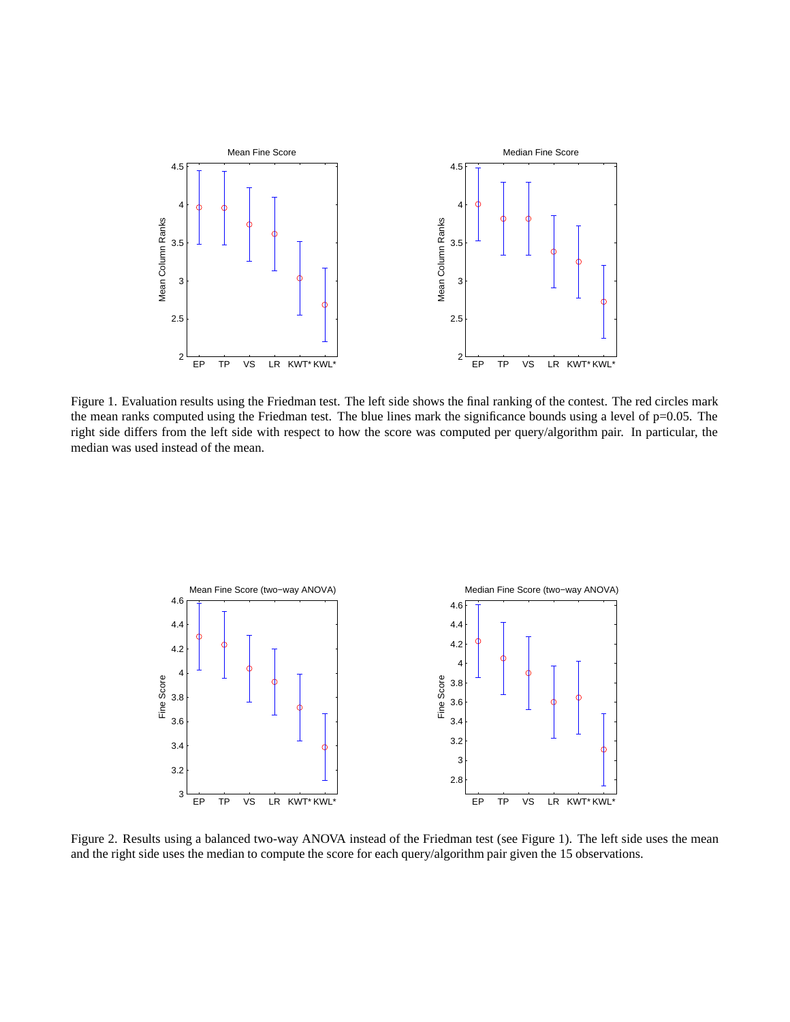

Figure 1. Evaluation results using the Friedman test. The left side shows the final ranking of the contest. The red circles mark the mean ranks computed using the Friedman test. The blue lines mark the significance bounds using a level of  $p=0.05$ . The right side differs from the left side with respect to how the score was computed per query/algorithm pair. In particular, the median was used instead of the mean.



Figure 2. Results using a balanced two-way ANOVA instead of the Friedman test (see Figure 1). The left side uses the mean and the right side uses the median to compute the score for each query/algorithm pair given the 15 observations.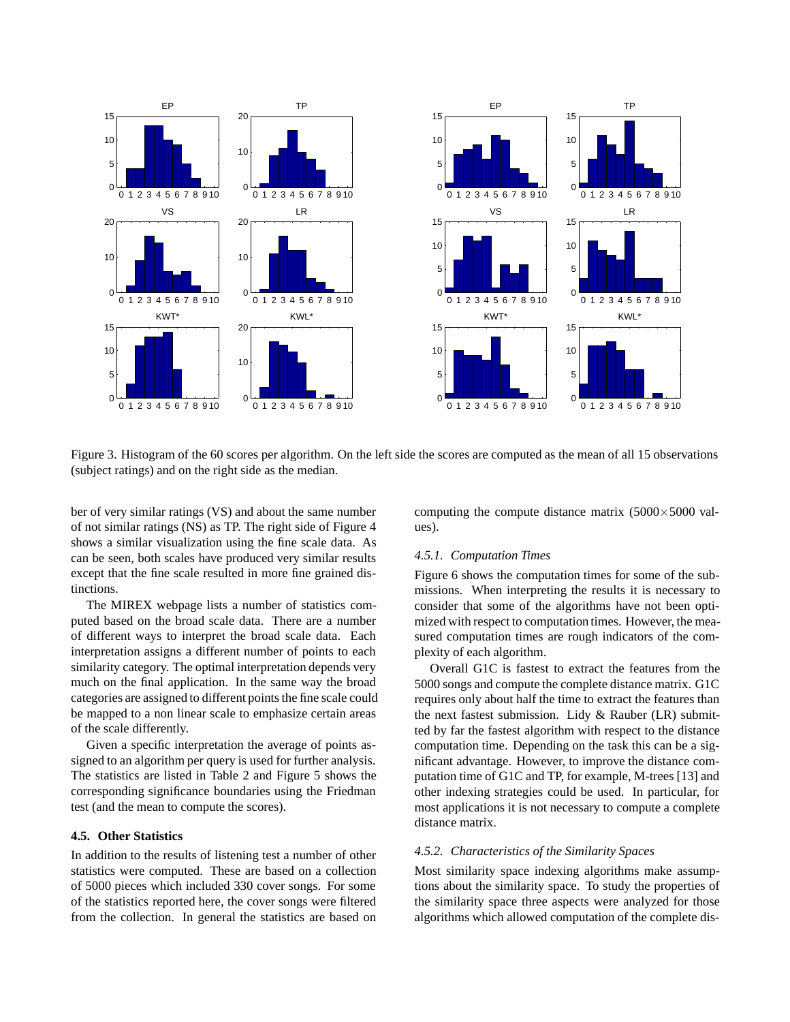

Figure 3. Histogram of the 60 scores per algorithm. On the left side the scores are computed as the mean of all 15 observations (subject ratings) and on the right side as the median.

ber of very similar ratings (VS) and about the same number of not similar ratings (NS) as TP. The right side of Figure 4 shows a similar visualization using the fine scale data. As can be seen, both scales have produced very similar results except that the fine scale resulted in more fine grained distinctions.

The MIREX webpage lists a number of statistics computed based on the broad scale data. There are a number of different ways to interpret the broad scale data. Each interpretation assigns a different number of points to each similarity category. The optimal interpretation depends very much on the final application. In the same way the broad categories are assigned to different points the fine scale could be mapped to a non linear scale to emphasize certain areas of the scale differently.

Given a specific interpretation the average of points assigned to an algorithm per query is used for further analysis. The statistics are listed in Table 2 and Figure 5 shows the corresponding significance boundaries using the Friedman test (and the mean to compute the scores).

### **4.5. Other Statistics**

In addition to the results of listening test a number of other statistics were computed. These are based on a collection of 5000 pieces which included 330 cover songs. For some of the statistics reported here, the cover songs were filtered from the collection. In general the statistics are based on

computing the compute distance matrix  $(5000 \times 5000 \text{ val-}$ ues).

#### *4.5.1. Computation Times*

Figure 6 shows the computation times for some of the submissions. When interpreting the results it is necessary to consider that some of the algorithms have not been optimized with respect to computation times. However, the measured computation times are rough indicators of the complexity of each algorithm.

Overall G1C is fastest to extract the features from the 5000 songs and compute the complete distance matrix. G1C requires only about half the time to extract the features than the next fastest submission. Lidy & Rauber (LR) submitted by far the fastest algorithm with respect to the distance computation time. Depending on the task this can be a significant advantage. However, to improve the distance computation time of G1C and TP, for example, M-trees [13] and other indexing strategies could be used. In particular, for most applications it is not necessary to compute a complete distance matrix.

#### *4.5.2. Characteristics of the Similarity Spaces*

Most similarity space indexing algorithms make assumptions about the similarity space. To study the properties of the similarity space three aspects were analyzed for those algorithms which allowed computation of the complete dis-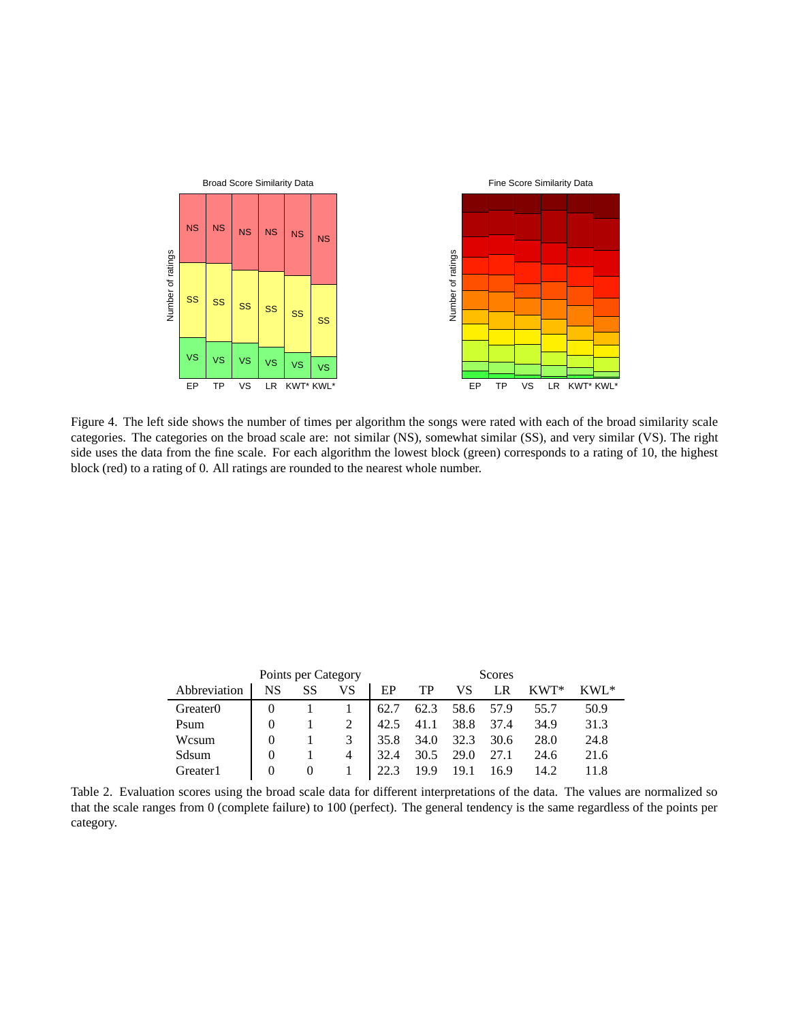

Figure 4. The left side shows the number of times per algorithm the songs were rated with each of the broad similarity scale categories. The categories on the broad scale are: not similar (NS), somewhat similar (SS), and very similar (VS). The right side uses the data from the fine scale. For each algorithm the lowest block (green) corresponds to a rating of 10, the highest block (red) to a rating of 0. All ratings are rounded to the nearest whole number.

|                      |          | Points per Category |    |      |      |      | Scores |        |          |
|----------------------|----------|---------------------|----|------|------|------|--------|--------|----------|
| Abbreviation         | NS       | SS                  | VS | EP   | TP   | VS   | LR     | $KWT*$ | $KWI$ .* |
| Greater <sub>0</sub> |          |                     |    | 62.7 | 62.3 | 58.6 | 57.9   | 55.7   | 50.9     |
| Psum                 | $\Omega$ |                     |    | 42.5 | 41.1 | 38.8 | 37.4   | 34.9   | 31.3     |
| Wcsum                | $\Omega$ |                     | 3  | 35.8 | 34.0 | 32.3 | 30.6   | 28.0   | 24.8     |
| Sdsum                | 0        |                     | 4  | 32.4 | 30.5 | 29.0 | 27.1   | 24.6   | 21.6     |
| Greater 1            | 0        |                     |    | 22.3 | 19.9 | 19.1 | 16.9   | 14.2   | 11 8     |

Table 2. Evaluation scores using the broad scale data for different interpretations of the data. The values are normalized so that the scale ranges from 0 (complete failure) to 100 (perfect). The general tendency is the same regardless of the points per category.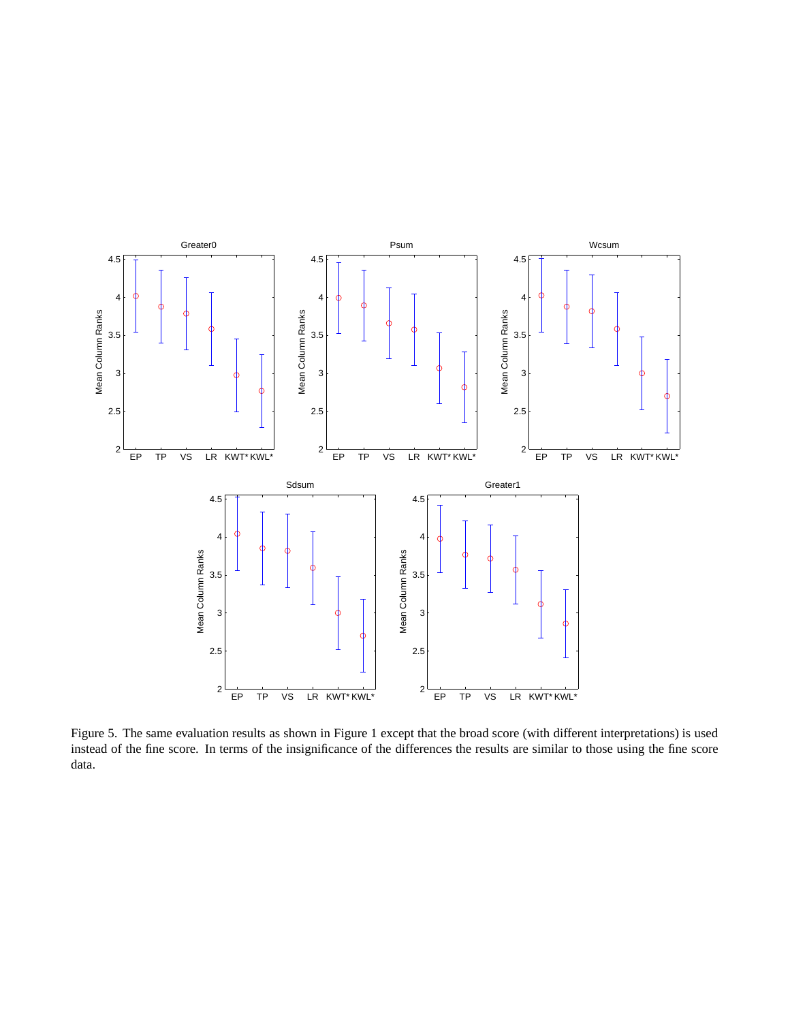

Figure 5. The same evaluation results as shown in Figure 1 except that the broad score (with different interpretations) is used instead of the fine score. In terms of the insignificance of the differences the results are similar to those using the fine score data.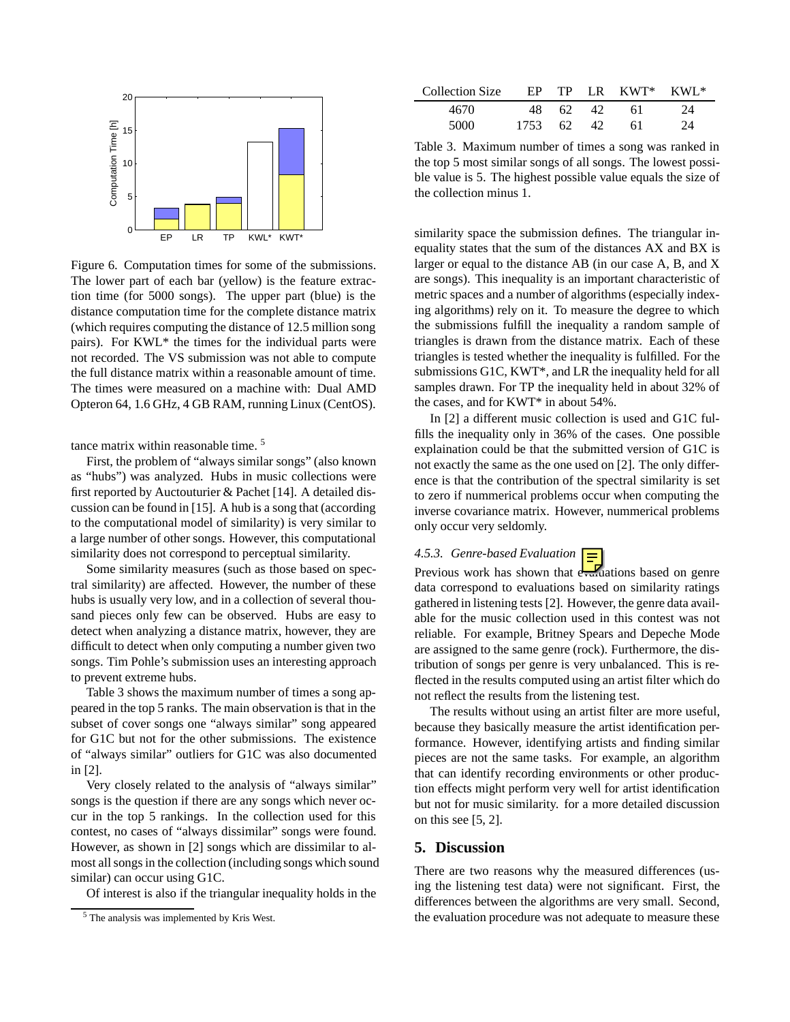

Figure 6. Computation times for some of the submissions. The lower part of each bar (yellow) is the feature extraction time (for 5000 songs). The upper part (blue) is the distance computation time for the complete distance matrix (which requires computing the distance of 12.5 million song pairs). For KWL\* the times for the individual parts were not recorded. The VS submission was not able to compute the full distance matrix within a reasonable amount of time. The times were measured on a machine with: Dual AMD Opteron 64, 1.6 GHz, 4 GB RAM, running Linux (CentOS).

tance matrix within reasonable time. <sup>5</sup>

First, the problem of "always similar songs" (also known as "hubs") was analyzed. Hubs in music collections were first reported by Auctouturier & Pachet [14]. A detailed discussion can be found in [15]. A hub is a song that (according to the computational model of similarity) is very similar to a large number of other songs. However, this computational similarity does not correspond to perceptual similarity.

Some similarity measures (such as those based on spectral similarity) are affected. However, the number of these hubs is usually very low, and in a collection of several thousand pieces only few can be observed. Hubs are easy to detect when analyzing a distance matrix, however, they are difficult to detect when only computing a number given two songs. Tim Pohle's submission uses an interesting approach to prevent extreme hubs.

Table 3 shows the maximum number of times a song appeared in the top 5 ranks. The main observation is that in the subset of cover songs one "always similar" song appeared for G1C but not for the other submissions. The existence of "always similar" outliers for G1C was also documented in [2].

Very closely related to the analysis of "always similar" songs is the question if there are any songs which never occur in the top 5 rankings. In the collection used for this contest, no cases of "always dissimilar" songs were found. However, as shown in [2] songs which are dissimilar to almost all songs in the collection (including songs which sound similar) can occur using G1C.

Of interest is also if the triangular inequality holds in the

| Collection Size |      |      |      | $EP$ TP LR KWT* KWL* |    |
|-----------------|------|------|------|----------------------|----|
| 4670            | 48.  | -62. | -42. | 61                   | 24 |
| 5000            | 1753 | 62.  | 42.  | 61                   | 24 |

Table 3. Maximum number of times a song was ranked in the top 5 most similar songs of all songs. The lowest possible value is 5. The highest possible value equals the size of the collection minus 1.

similarity space the submission defines. The triangular inequality states that the sum of the distances AX and BX is larger or equal to the distance AB (in our case A, B, and X are songs). This inequality is an important characteristic of metric spaces and a number of algorithms (especially indexing algorithms) rely on it. To measure the degree to which the submissions fulfill the inequality a random sample of triangles is drawn from the distance matrix. Each of these triangles is tested whether the inequality is fulfilled. For the submissions G1C, KWT\*, and LR the inequality held for all samples drawn. For TP the inequality held in about 32% of the cases, and for KWT\* in about 54%.

In [2] a different music collection is used and G1C fulfills the inequality only in 36% of the cases. One possible explaination could be that the submitted version of G1C is not exactly the same as the one used on [2]. The only difference is that the contribution of the spectral similarity is set to zero if nummerical problems occur when computing the inverse covariance matrix. However, nummerical problems only occur very seldomly.

# *4.5.3. Genre-based Evaluation*

Previous work has shown that  $e^{\sqrt{x}}$  ations based on genre data correspond to evaluations based on similarity ratings gathered in listening tests [2]. However, the genre data available for the music collection used in this contest was not reliable. For example, Britney Spears and Depeche Mode are assigned to the same genre (rock). Furthermore, the distribution of songs per genre is very unbalanced. This is reflected in the results computed using an artist filter which do not reflect the results from the listening test.

The results without using an artist filter are more useful, because they basically measure the artist identification performance. However, identifying artists and finding similar pieces are not the same tasks. For example, an algorithm that can identify recording environments or other production effects might perform very well for artist identification but not for music similarity. for a more detailed discussion on this see [5, 2].

## **5. Discussion**

There are two reasons why the measured differences (using the listening test data) were not significant. First, the differences between the algorithms are very small. Second, the evaluation procedure was not adequate to measure these

<sup>5</sup> The analysis was implemented by Kris West.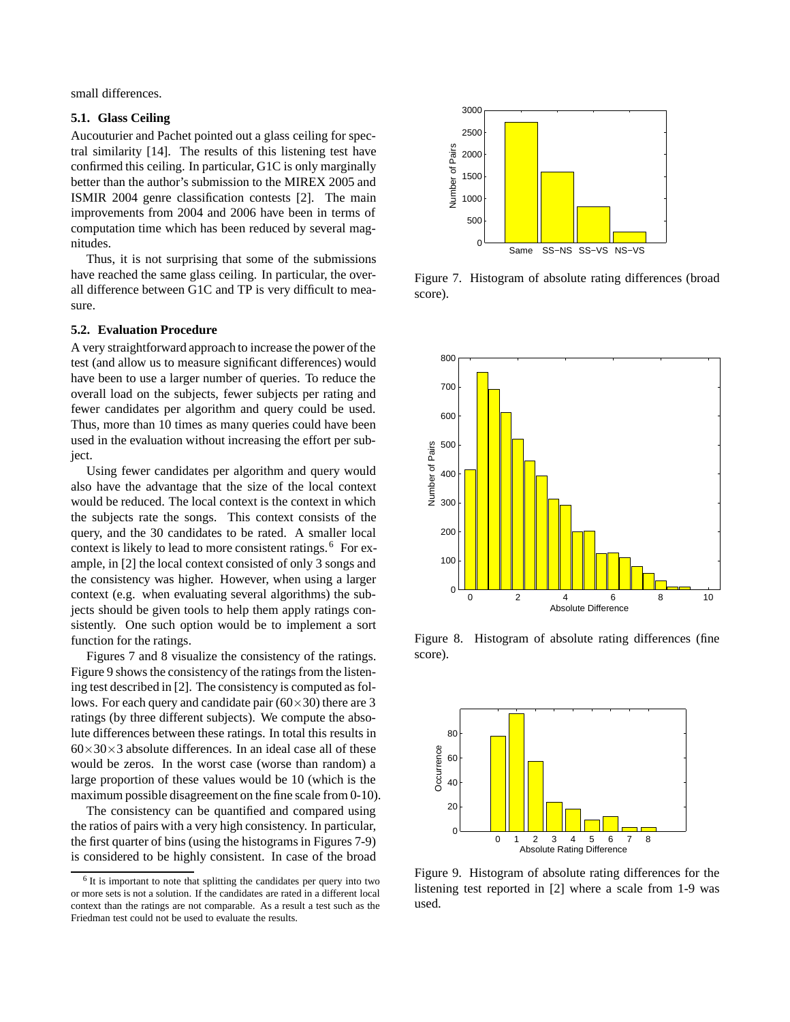small differences.

## **5.1. Glass Ceiling**

Aucouturier and Pachet pointed out a glass ceiling for spectral similarity [14]. The results of this listening test have confirmed this ceiling. In particular, G1C is only marginally better than the author's submission to the MIREX 2005 and ISMIR 2004 genre classification contests [2]. The main improvements from 2004 and 2006 have been in terms of computation time which has been reduced by several magnitudes.

Thus, it is not surprising that some of the submissions have reached the same glass ceiling. In particular, the overall difference between G1C and TP is very difficult to measure.

#### **5.2. Evaluation Procedure**

A very straightforward approach to increase the power of the test (and allow us to measure significant differences) would have been to use a larger number of queries. To reduce the overall load on the subjects, fewer subjects per rating and fewer candidates per algorithm and query could be used. Thus, more than 10 times as many queries could have been used in the evaluation without increasing the effort per subject.

Using fewer candidates per algorithm and query would also have the advantage that the size of the local context would be reduced. The local context is the context in which the subjects rate the songs. This context consists of the query, and the 30 candidates to be rated. A smaller local context is likely to lead to more consistent ratings.<sup>6</sup> For example, in [2] the local context consisted of only 3 songs and the consistency was higher. However, when using a larger context (e.g. when evaluating several algorithms) the subjects should be given tools to help them apply ratings consistently. One such option would be to implement a sort function for the ratings.

Figures 7 and 8 visualize the consistency of the ratings. Figure 9 shows the consistency of the ratings from the listening test described in [2]. The consistency is computed as follows. For each query and candidate pair  $(60 \times 30)$  there are 3 ratings (by three different subjects). We compute the absolute differences between these ratings. In total this results in  $60\times30\times3$  absolute differences. In an ideal case all of these would be zeros. In the worst case (worse than random) a large proportion of these values would be 10 (which is the maximum possible disagreement on the fine scale from 0-10).

The consistency can be quantified and compared using the ratios of pairs with a very high consistency. In particular, the first quarter of bins (using the histograms in Figures 7-9) is considered to be highly consistent. In case of the broad



Figure 7. Histogram of absolute rating differences (broad score).



Figure 8. Histogram of absolute rating differences (fine score).



Figure 9. Histogram of absolute rating differences for the listening test reported in [2] where a scale from 1-9 was used.

<sup>&</sup>lt;sup>6</sup> It is important to note that splitting the candidates per query into two or more sets is not a solution. If the candidates are rated in a different local context than the ratings are not comparable. As a result a test such as the Friedman test could not be used to evaluate the results.